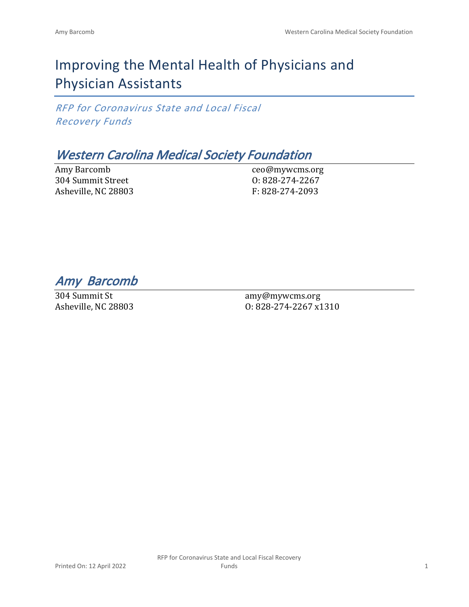# Improving the Mental Health of Physicians and Physician Assistants

*RFP for Coronavirus State and Local Fiscal Recovery Funds*

## *Western Carolina Medical Society Foundation*

Amy Barcomb 304 Summit Street Asheville, NC 28803

ceo@mywcms.org O: 828-274-2267 F: 828-274-2093

*Amy Barcomb* 

304 Summit St Asheville, NC 28803

amy@mywcms.org O: 828-274-2267 x1310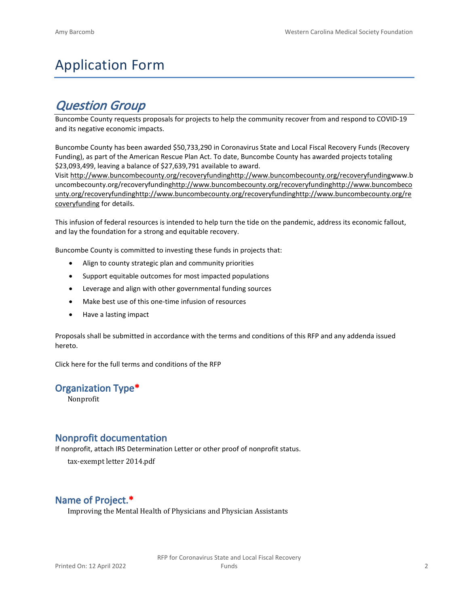# Application Form

## *Question Group*

Buncombe County requests proposals for projects to help the community recover from and respond to COVID-19 and its negative economic impacts.

Buncombe County has been awarded \$50,733,290 in Coronavirus State and Local Fiscal Recovery Funds (Recovery Funding), as part of the American Rescue Plan Act. To date, Buncombe County has awarded projects totaling \$23,093,499, leaving a balance of \$27,639,791 available to award.

Visit [http://www.buncombecounty.org/recoveryfundinghttp://www.buncombecounty.org/recoveryfundingwww.b](http://www.buncombecounty.org/recoveryfunding) [uncombecounty.org/recoveryfundinghttp://www.buncombecounty.org/recoveryfundinghttp://www.buncombeco](http://www.buncombecounty.org/recoveryfunding) [unty.org/recoveryfundinghttp://www.buncombecounty.org/recoveryfundinghttp://www.buncombecounty.org/re](http://www.buncombecounty.org/recoveryfunding) [coveryfunding](http://www.buncombecounty.org/recoveryfunding) for details.

This infusion of federal resources is intended to help turn the tide on the pandemic, address its economic fallout, and lay the foundation for a strong and equitable recovery.

Buncombe County is committed to investing these funds in projects that:

- Align to county strategic plan and community priorities
- Support equitable outcomes for most impacted populations
- Leverage and align with other governmental funding sources
- Make best use of this one-time infusion of resources
- Have a lasting impact

Proposals shall be submitted in accordance with the terms and conditions of this RFP and any addenda issued hereto.

Click [here](https://www.buncombecounty.org/common/purchasing/Buncombe%20Recovery%20Funding%20RFP%202022.pdf) for the full terms and conditions of the RFP

## **Organization Type\***

Nonprofit

## **Nonprofit documentation**

If nonprofit, attach IRS Determination Letter or other proof of nonprofit status.

tax-exempt letter 2014.pdf

## **Name of Project.\***

Improving the Mental Health of Physicians and Physician Assistants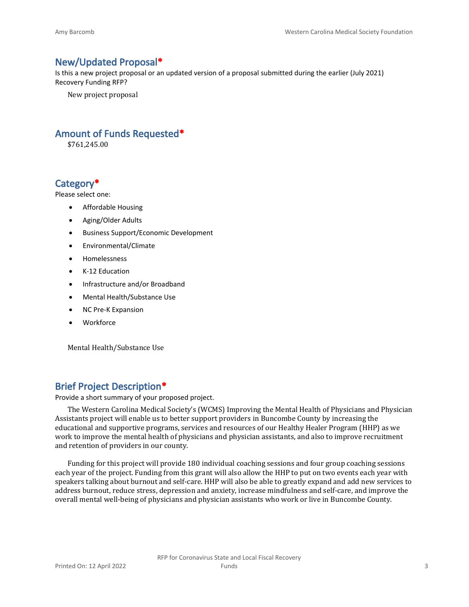## **New/Updated Proposal\***

Is this a new project proposal or an updated version of a proposal submitted during the earlier (July 2021) Recovery Funding RFP?

New project proposal

## **Amount of Funds Requested\***

\$761,245.00

## **Category\***

Please select one:

- Affordable Housing
- Aging/Older Adults
- Business Support/Economic Development
- Environmental/Climate
- Homelessness
- K-12 Education
- Infrastructure and/or Broadband
- Mental Health/Substance Use
- NC Pre-K Expansion
- Workforce

Mental Health/Substance Use

## **Brief Project Description\***

Provide a short summary of your proposed project.

The Western Carolina Medical Society's (WCMS) Improving the Mental Health of Physicians and Physician Assistants project will enable us to better support providers in Buncombe County by increasing the educational and supportive programs, services and resources of our Healthy Healer Program (HHP) as we work to improve the mental health of physicians and physician assistants, and also to improve recruitment and retention of providers in our county.

Funding for this project will provide 180 individual coaching sessions and four group coaching sessions each year of the project. Funding from this grant will also allow the HHP to put on two events each year with speakers talking about burnout and self-care. HHP will also be able to greatly expand and add new services to address burnout, reduce stress, depression and anxiety, increase mindfulness and self-care, and improve the overall mental well-being of physicians and physician assistants who work or live in Buncombe County.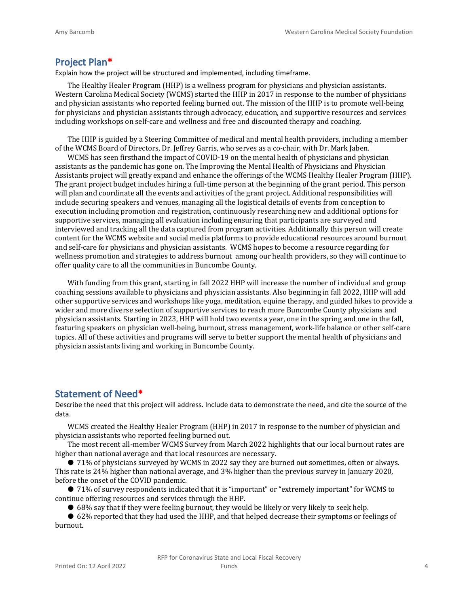#### **Project Plan\***

Explain how the project will be structured and implemented, including timeframe.

The Healthy Healer Program (HHP) is a wellness program for physicians and physician assistants. Western Carolina Medical Society (WCMS) started the HHP in 2017 in response to the number of physicians and physician assistants who reported feeling burned out. The mission of the HHP is to promote well-being for physicians and physician assistants through advocacy, education, and supportive resources and services including workshops on self-care and wellness and free and discounted therapy and coaching.

The HHP is guided by a Steering Committee of medical and mental health providers, including a member of the WCMS Board of Directors, Dr. Jeffrey Garris, who serves as a co-chair, with Dr. Mark Jaben.

WCMS has seen firsthand the impact of COVID-19 on the mental health of physicians and physician assistants as the pandemic has gone on. The Improving the Mental Health of Physicians and Physician Assistants project will greatly expand and enhance the offerings of the WCMS Healthy Healer Program (HHP). The grant project budget includes hiring a full-time person at the beginning of the grant period. This person will plan and coordinate all the events and activities of the grant project. Additional responsibilities will include securing speakers and venues, managing all the logistical details of events from conception to execution including promotion and registration, continuously researching new and additional options for supportive services, managing all evaluation including ensuring that participants are surveyed and interviewed and tracking all the data captured from program activities. Additionally this person will create content for the WCMS website and social media platforms to provide educational resources around burnout and self-care for physicians and physician assistants. WCMS hopes to become a resource regarding for wellness promotion and strategies to address burnout among our health providers, so they will continue to offer quality care to all the communities in Buncombe County.

With funding from this grant, starting in fall 2022 HHP will increase the number of individual and group coaching sessions available to physicians and physician assistants. Also beginning in fall 2022, HHP will add other supportive services and workshops like yoga, meditation, equine therapy, and guided hikes to provide a wider and more diverse selection of supportive services to reach more Buncombe County physicians and physician assistants. Starting in 2023, HHP will hold two events a year, one in the spring and one in the fall, featuring speakers on physician well-being, burnout, stress management, work-life balance or other self-care topics. All of these activities and programs will serve to better support the mental health of physicians and physician assistants living and working in Buncombe County.

#### **Statement of Need\***

Describe the need that this project will address. Include data to demonstrate the need, and cite the source of the data.

WCMS created the Healthy Healer Program (HHP) in 2017 in response to the number of physician and physician assistants who reported feeling burned out.

The most recent all-member WCMS Survey from March 2022 highlights that our local burnout rates are higher than national average and that local resources are necessary.

● 71% of physicians surveyed by WCMS in 2022 say they are burned out sometimes, often or always. This rate is 24% higher than national average, and 3% higher than the previous survey in January 2020, before the onset of the COVID pandemic.

● 71% of survey respondents indicated that it is "important" or "extremely important" for WCMS to continue offering resources and services through the HHP.

● 68% say that if they were feeling burnout, they would be likely or very likely to seek help.

● 62% reported that they had used the HHP, and that helped decrease their symptoms or feelings of burnout.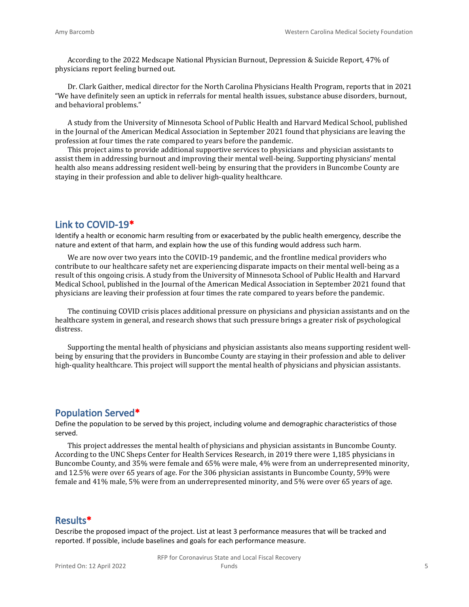According to the 2022 Medscape National Physician Burnout, Depression & Suicide Report, 47% of physicians report feeling burned out.

Dr. Clark Gaither, medical director for the North Carolina Physicians Health Program, reports that in 2021 "We have definitely seen an uptick in referrals for mental health issues, substance abuse disorders, burnout, and behavioral problems."

A study from the University of Minnesota School of Public Health and Harvard Medical School, published in the Journal of the American Medical Association in September 2021 found that physicians are leaving the profession at four times the rate compared to years before the pandemic.

This project aims to provide additional supportive services to physicians and physician assistants to assist them in addressing burnout and improving their mental well-being. Supporting physicians' mental health also means addressing resident well-being by ensuring that the providers in Buncombe County are staying in their profession and able to deliver high-quality healthcare.

### **Link to COVID-19\***

Identify a health or economic harm resulting from or exacerbated by the public health emergency, describe the nature and extent of that harm, and explain how the use of this funding would address such harm.

We are now over two years into the COVID-19 pandemic, and the frontline medical providers who contribute to our healthcare safety net are experiencing disparate impacts on their mental well-being as a result of this ongoing crisis. A study from the University of Minnesota School of Public Health and Harvard Medical School, published in the Journal of the American Medical Association in September 2021 found that physicians are leaving their profession at four times the rate compared to years before the pandemic.

The continuing COVID crisis places additional pressure on physicians and physician assistants and on the healthcare system in general, and research shows that such pressure brings a greater risk of psychological distress.

Supporting the mental health of physicians and physician assistants also means supporting resident wellbeing by ensuring that the providers in Buncombe County are staying in their profession and able to deliver high-quality healthcare. This project will support the mental health of physicians and physician assistants.

#### **Population Served\***

Define the population to be served by this project, including volume and demographic characteristics of those served.

This project addresses the mental health of physicians and physician assistants in Buncombe County. According to the UNC Sheps Center for Health Services Research, in 2019 there were 1,185 physicians in Buncombe County, and 35% were female and 65% were male, 4% were from an underrepresented minority, and 12.5% were over 65 years of age. For the 306 physician assistants in Buncombe County, 59% were female and 41% male, 5% were from an underrepresented minority, and 5% were over 65 years of age.

#### **Results\***

Describe the proposed impact of the project. List at least 3 performance measures that will be tracked and reported. If possible, include baselines and goals for each performance measure.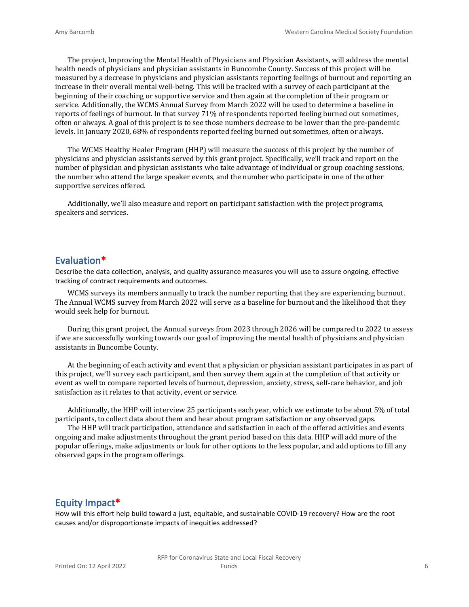The project, Improving the Mental Health of Physicians and Physician Assistants, will address the mental health needs of physicians and physician assistants in Buncombe County. Success of this project will be measured by a decrease in physicians and physician assistants reporting feelings of burnout and reporting an increase in their overall mental well-being. This will be tracked with a survey of each participant at the beginning of their coaching or supportive service and then again at the completion of their program or service. Additionally, the WCMS Annual Survey from March 2022 will be used to determine a baseline in reports of feelings of burnout. In that survey 71% of respondents reported feeling burned out sometimes, often or always. A goal of this project is to see those numbers decrease to be lower than the pre-pandemic levels. In January 2020, 68% of respondents reported feeling burned out sometimes, often or always.

The WCMS Healthy Healer Program (HHP) will measure the success of this project by the number of physicians and physician assistants served by this grant project. Specifically, we'll track and report on the number of physician and physician assistants who take advantage of individual or group coaching sessions, the number who attend the large speaker events, and the number who participate in one of the other supportive services offered.

Additionally, we'll also measure and report on participant satisfaction with the project programs, speakers and services.

#### **Evaluation\***

Describe the data collection, analysis, and quality assurance measures you will use to assure ongoing, effective tracking of contract requirements and outcomes.

WCMS surveys its members annually to track the number reporting that they are experiencing burnout. The Annual WCMS survey from March 2022 will serve as a baseline for burnout and the likelihood that they would seek help for burnout.

During this grant project, the Annual surveys from 2023 through 2026 will be compared to 2022 to assess if we are successfully working towards our goal of improving the mental health of physicians and physician assistants in Buncombe County.

At the beginning of each activity and event that a physician or physician assistant participates in as part of this project, we'll survey each participant, and then survey them again at the completion of that activity or event as well to compare reported levels of burnout, depression, anxiety, stress, self-care behavior, and job satisfaction as it relates to that activity, event or service.

Additionally, the HHP will interview 25 participants each year, which we estimate to be about 5% of total participants, to collect data about them and hear about program satisfaction or any observed gaps.

The HHP will track participation, attendance and satisfaction in each of the offered activities and events ongoing and make adjustments throughout the grant period based on this data. HHP will add more of the popular offerings, make adjustments or look for other options to the less popular, and add options to fill any observed gaps in the program offerings.

#### **Equity Impact\***

How will this effort help build toward a just, equitable, and sustainable COVID-19 recovery? How are the root causes and/or disproportionate impacts of inequities addressed?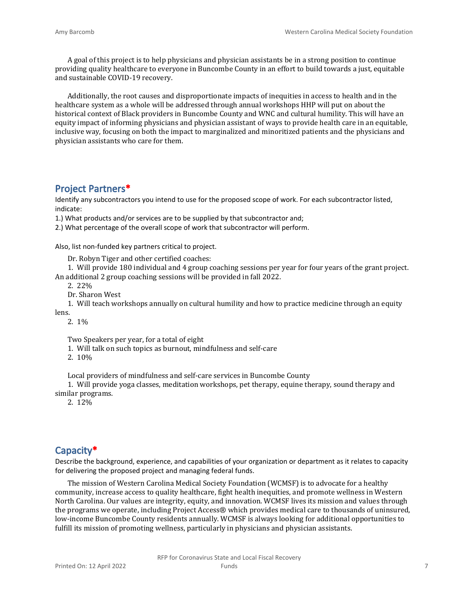A goal of this project is to help physicians and physician assistants be in a strong position to continue providing quality healthcare to everyone in Buncombe County in an effort to build towards a just, equitable and sustainable COVID-19 recovery.

Additionally, the root causes and disproportionate impacts of inequities in access to health and in the healthcare system as a whole will be addressed through annual workshops HHP will put on about the historical context of Black providers in Buncombe County and WNC and cultural humility. This will have an equity impact of informing physicians and physician assistant of ways to provide health care in an equitable, inclusive way, focusing on both the impact to marginalized and minoritized patients and the physicians and physician assistants who care for them.

## **Project Partners\***

Identify any subcontractors you intend to use for the proposed scope of work. For each subcontractor listed, indicate:

1.) What products and/or services are to be supplied by that subcontractor and;

2.) What percentage of the overall scope of work that subcontractor will perform.

Also, list non-funded key partners critical to project.

Dr. Robyn Tiger and other certified coaches:

1. Will provide 180 individual and 4 group coaching sessions per year for four years of the grant project. An additional 2 group coaching sessions will be provided in fall 2022.

2. 22%

Dr. Sharon West

1. Will teach workshops annually on cultural humility and how to practice medicine through an equity lens.

2. 1%

Two Speakers per year, for a total of eight

1. Will talk on such topics as burnout, mindfulness and self-care

2. 10%

Local providers of mindfulness and self-care services in Buncombe County

1. Will provide yoga classes, meditation workshops, pet therapy, equine therapy, sound therapy and similar programs.

2. 12%

## **Capacity\***

Describe the background, experience, and capabilities of your organization or department as it relates to capacity for delivering the proposed project and managing federal funds.

The mission of Western Carolina Medical Society Foundation (WCMSF) is to advocate for a healthy community, increase access to quality healthcare, fight health inequities, and promote wellness in Western North Carolina. Our values are integrity, equity, and innovation. WCMSF lives its mission and values through the programs we operate, including Project Access® which provides medical care to thousands of uninsured, low-income Buncombe County residents annually. WCMSF is always looking for additional opportunities to fulfill its mission of promoting wellness, particularly in physicians and physician assistants.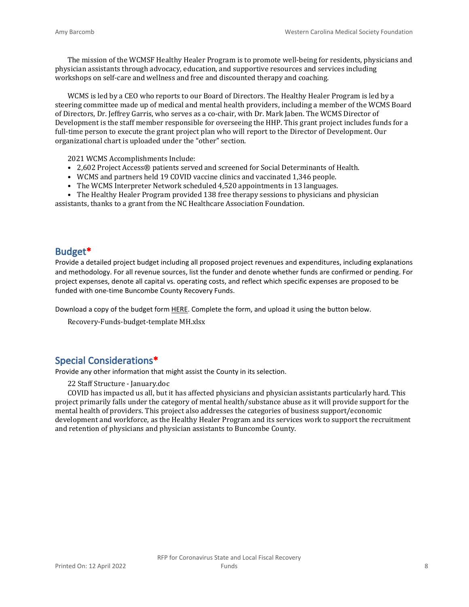The mission of the WCMSF Healthy Healer Program is to promote well-being for residents, physicians and physician assistants through advocacy, education, and supportive resources and services including workshops on self-care and wellness and free and discounted therapy and coaching.

WCMS is led by a CEO who reports to our Board of Directors. The Healthy Healer Program is led by a steering committee made up of medical and mental health providers, including a member of the WCMS Board of Directors, Dr. Jeffrey Garris, who serves as a co-chair, with Dr. Mark Jaben. The WCMS Director of Development is the staff member responsible for overseeing the HHP. This grant project includes funds for a full-time person to execute the grant project plan who will report to the Director of Development. Our organizational chart is uploaded under the "other" section.

2021 WCMS Accomplishments Include:

- 2,602 Project Access® patients served and screened for Social Determinants of Health.
- WCMS and partners held 19 COVID vaccine clinics and vaccinated 1,346 people.
- The WCMS Interpreter Network scheduled 4,520 appointments in 13 languages.

• The Healthy Healer Program provided 138 free therapy sessions to physicians and physician assistants, thanks to a grant from the NC Healthcare Association Foundation.

#### **Budget\***

Provide a detailed project budget including all proposed project revenues and expenditures, including explanations and methodology. For all revenue sources, list the funder and denote whether funds are confirmed or pending. For project expenses, denote all capital vs. operating costs, and reflect which specific expenses are proposed to be funded with one-time Buncombe County Recovery Funds.

Download a copy of the budget form [HERE](https://buncombecounty.org/common/community-investment/grants/early-childhood-education/Recovery-Funds-budget-template.xlsx). Complete the form, and upload it using the button below.

Recovery-Funds-budget-template MH.xlsx

## **Special Considerations\***

Provide any other information that might assist the County in its selection.

22 Staff Structure - January.doc

COVID has impacted us all, but it has affected physicians and physician assistants particularly hard. This project primarily falls under the category of mental health/substance abuse as it will provide support for the mental health of providers. This project also addresses the categories of business support/economic development and workforce, as the Healthy Healer Program and its services work to support the recruitment and retention of physicians and physician assistants to Buncombe County.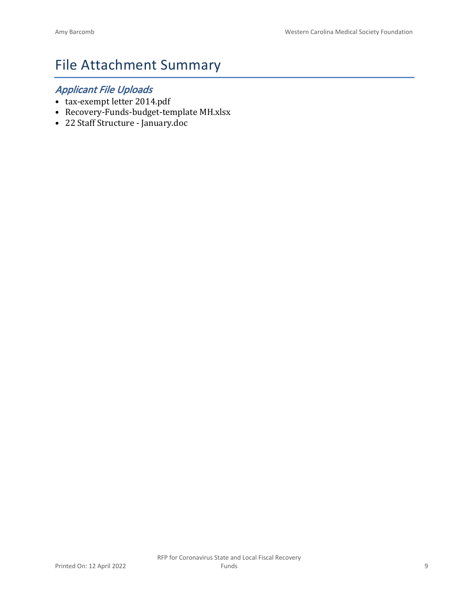# File Attachment Summary

## *Applicant File Uploads*

- tax-exempt letter 2014.pdf
- Recovery-Funds-budget-template MH.xlsx
- 22 Staff Structure January.doc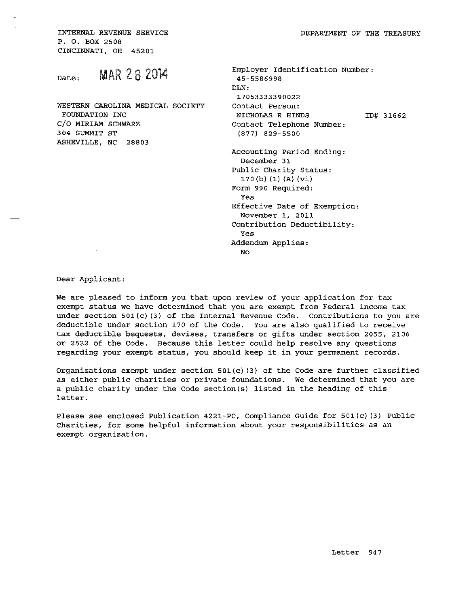INTERNAL REVENUE SERVICE P. O. BOX 2508 CINCINNATI, OH 45201

**MAR 28 2014** Date:

WESTERN CAROLINA MEDICAL SOCIETY FOUNDATION INC C/O MIRIAM SCHWARZ 304 SUMMIT ST ASHEVILLE, NC 28803

| Employer Identification Number:          |           |
|------------------------------------------|-----------|
| 45-5586998                               |           |
| DLN:                                     |           |
| 17053333390022                           |           |
| Contact Person:                          |           |
| NICHOLAS R HINDS                         | ID# 31662 |
| Contact Telephone Number:                |           |
| $(877)$ 829-5500                         |           |
| Accounting Period Ending:<br>December 31 |           |
| Public Charity Status:                   |           |
| 170(b) (1) (A) (V1)                      |           |
| Form 990 Required:                       |           |
| Yes                                      |           |
| Effective Date of Exemption:             |           |
| November 1, 2011                         |           |
| Contribution Deductibility:              |           |
| Yes                                      |           |
| Addendum Applies:                        |           |
| No                                       |           |
|                                          |           |

Dear Applicant:

 $\sim 10$ 

We are pleased to inform you that upon review of your application for tax exempt status we have determined that you are exempt from Federal income tax under section  $501(c)$  (3) of the Internal Revenue Code. Contributions to you are deductible under section 170 of the Code. You are also qualified to receive tax deductible bequests, devises, transfers or gifts under section 2055, 2106 or 2522 of the Code. Because this letter could help resolve any questions regarding your exempt status, you should keep it in your permanent records.

Organizations exempt under section  $501(c)$  (3) of the Code are further classified as either public charities or private foundations. We determined that you are a public charity under the Code section(s) listed in the heading of this letter.

Please see enclosed Publication 4221-PC, Compliance Guide for 501(c)(3) Public Charities, for some helpful information about your responsibilities as an exempt organization.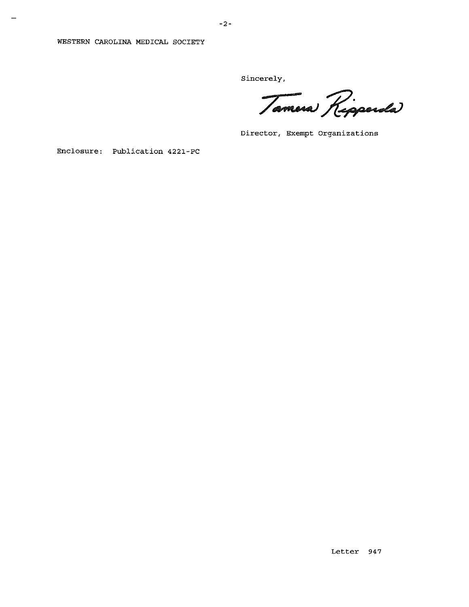#### WESTERN CAROLINA MEDICAL SOCIETY

Sincerely,

Tamera Ripperda

Director, Exempt Organizations

Enclosure: Publication 4221-PC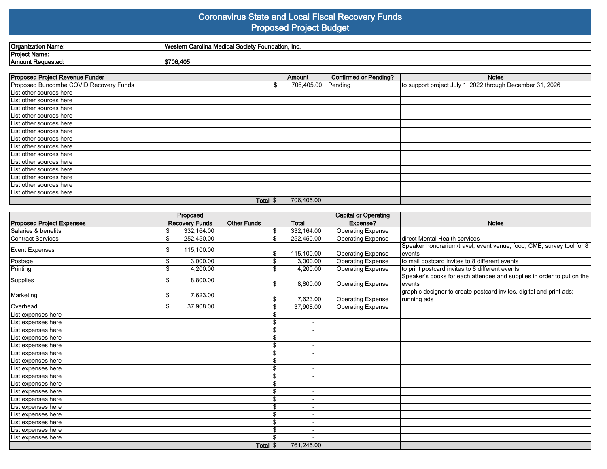#### **Coronavirus State and Local Fiscal Recovery Funds Proposed Project Budget**

| Organization<br>n Nom<br>1121115 | "<br>≅ Foundation, Inc.<br>Carolin<br>$-1$ Society<br><b>MAGGAN</b><br>i Calullia.<br>י וסוטטרי<br>Touloan |
|----------------------------------|------------------------------------------------------------------------------------------------------------|
| <b>Project Name</b>              |                                                                                                            |
| Amount Requested:                | \$706,405                                                                                                  |
|                                  |                                                                                                            |

| Proposed Project Revenue Funder        | Amount     | <b>Confirmed or Pending?</b> | <b>Notes</b>                                              |
|----------------------------------------|------------|------------------------------|-----------------------------------------------------------|
| Proposed Buncombe COVID Recovery Funds | 706,405.00 | Pending                      | to support project July 1, 2022 through December 31, 2026 |
| List other sources here                |            |                              |                                                           |
| List other sources here                |            |                              |                                                           |
| List other sources here                |            |                              |                                                           |
| List other sources here                |            |                              |                                                           |
| List other sources here                |            |                              |                                                           |
| List other sources here                |            |                              |                                                           |
| List other sources here                |            |                              |                                                           |
| List other sources here                |            |                              |                                                           |
| List other sources here                |            |                              |                                                           |
| List other sources here                |            |                              |                                                           |
| List other sources here                |            |                              |                                                           |
| List other sources here                |            |                              |                                                           |
| List other sources here                |            |                              |                                                           |
| List other sources here                |            |                              |                                                           |
| Total $\frac{1}{2}$                    | 706,405.00 |                              |                                                           |

|                                   |    | Proposed              |                    |    |                          | <b>Capital or Operating</b> |                                                                       |
|-----------------------------------|----|-----------------------|--------------------|----|--------------------------|-----------------------------|-----------------------------------------------------------------------|
| <b>Proposed Project Expenses</b>  |    | <b>Recovery Funds</b> | <b>Other Funds</b> |    | <b>Total</b>             | Expense?                    | <b>Notes</b>                                                          |
| Salaries & benefits               | \$ | 332,164.00            |                    |    | 332,164.00               | Operating Expense           |                                                                       |
| Contract Services                 | \$ | 252,450.00            |                    | \$ | 252,450.00               | <b>Operating Expense</b>    | Idirect Mental Health services                                        |
| Event Expenses                    | \$ | 115,100.00            |                    |    |                          |                             | Speaker honorarium/travel, event venue, food, CME, survey tool for 8  |
|                                   |    |                       |                    | S  | 115,100.00               | <b>Operating Expense</b>    | levents                                                               |
| Postage                           | \$ | 3,000.00              |                    | \$ | 3,000.00                 | <b>Operating Expense</b>    | to mail postcard invites to 8 different events                        |
| Printing                          | \$ | 4,200.00              |                    | S  | 4,200.00                 | <b>Operating Expense</b>    | to print postcard invites to 8 different events                       |
| Supplies                          | \$ | 8,800.00              |                    |    |                          |                             | Speaker's books for each attendee and supplies in order to put on the |
|                                   |    |                       |                    | \$ | 8,800.00                 | <b>Operating Expense</b>    | levents                                                               |
| Marketing                         | \$ | 7,623.00              |                    |    |                          |                             | graphic designer to create postcard invites, digital and print ads;   |
|                                   |    |                       |                    |    | 7,623.00                 | <b>Operating Expense</b>    | running ads                                                           |
| Overhead                          | \$ | 37,908.00             |                    | S  | 37,908.00                | <b>Operating Expense</b>    |                                                                       |
| List expenses here                |    |                       |                    |    | $\blacksquare$           |                             |                                                                       |
| List expenses here                |    |                       |                    | \$ | $\overline{\phantom{0}}$ |                             |                                                                       |
| List expenses here                |    |                       |                    | \$ | $\blacksquare$           |                             |                                                                       |
| List expenses here                |    |                       |                    | \$ | $\blacksquare$           |                             |                                                                       |
| List expenses here                |    |                       |                    | \$ | $\blacksquare$           |                             |                                                                       |
| List expenses here                |    |                       |                    | \$ | $\overline{\phantom{a}}$ |                             |                                                                       |
| List expenses here                |    |                       |                    | \$ | -                        |                             |                                                                       |
| List expenses here                |    |                       |                    | \$ | $\overline{\phantom{a}}$ |                             |                                                                       |
| List expenses here                |    |                       |                    | \$ | $\blacksquare$           |                             |                                                                       |
| List expenses here                |    |                       |                    | \$ | $\overline{\phantom{a}}$ |                             |                                                                       |
| List expenses here                |    |                       |                    | \$ | $\blacksquare$           |                             |                                                                       |
| List expenses here                |    |                       |                    | \$ | $\overline{\phantom{a}}$ |                             |                                                                       |
| List expenses here                |    |                       |                    | \$ | $\overline{\phantom{a}}$ |                             |                                                                       |
| List expenses here                |    |                       |                    | S  | $\overline{\phantom{a}}$ |                             |                                                                       |
| List expenses here                |    |                       |                    | \$ | $\blacksquare$           |                             |                                                                       |
| List expenses here                |    |                       |                    | \$ | $\overline{\phantom{0}}$ |                             |                                                                       |
| List expenses here                |    |                       |                    |    | $\blacksquare$           |                             |                                                                       |
| Total $\frac{1}{3}$<br>761,245.00 |    |                       |                    |    |                          |                             |                                                                       |